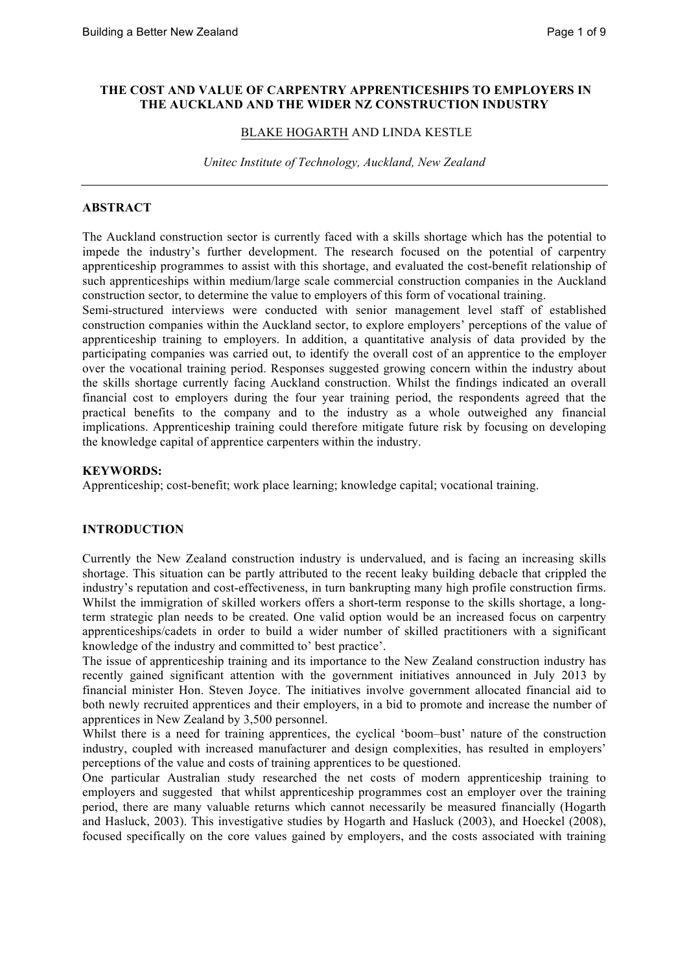### **THE COST AND VALUE OF CARPENTRY APPRENTICESHIPS TO EMPLOYERS IN THE AUCKLAND AND THE WIDER NZ CONSTRUCTION INDUSTRY**

#### BLAKE HOGARTH AND LINDA KESTLE

*Unitec Institute of Technology, Auckland, New Zealand* 

### **ABSTRACT**

The Auckland construction sector is currently faced with a skills shortage which has the potential to impede the industry's further development. The research focused on the potential of carpentry apprenticeship programmes to assist with this shortage, and evaluated the cost-benefit relationship of such apprenticeships within medium/large scale commercial construction companies in the Auckland construction sector, to determine the value to employers of this form of vocational training.

Semi-structured interviews were conducted with senior management level staff of established construction companies within the Auckland sector, to explore employers' perceptions of the value of apprenticeship training to employers. In addition, a quantitative analysis of data provided by the participating companies was carried out, to identify the overall cost of an apprentice to the employer over the vocational training period. Responses suggested growing concern within the industry about the skills shortage currently facing Auckland construction. Whilst the findings indicated an overall financial cost to employers during the four year training period, the respondents agreed that the practical benefits to the company and to the industry as a whole outweighed any financial implications. Apprenticeship training could therefore mitigate future risk by focusing on developing the knowledge capital of apprentice carpenters within the industry.

#### **KEYWORDS:**

Apprenticeship; cost-benefit; work place learning; knowledge capital; vocational training.

### **INTRODUCTION**

Currently the New Zealand construction industry is undervalued, and is facing an increasing skills shortage. This situation can be partly attributed to the recent leaky building debacle that crippled the industry's reputation and cost-effectiveness, in turn bankrupting many high profile construction firms. Whilst the immigration of skilled workers offers a short-term response to the skills shortage, a longterm strategic plan needs to be created. One valid option would be an increased focus on carpentry apprenticeships/cadets in order to build a wider number of skilled practitioners with a significant knowledge of the industry and committed to' best practice'.

The issue of apprenticeship training and its importance to the New Zealand construction industry has recently gained significant attention with the government initiatives announced in July 2013 by financial minister Hon. Steven Joyce. The initiatives involve government allocated financial aid to both newly recruited apprentices and their employers, in a bid to promote and increase the number of apprentices in New Zealand by 3,500 personnel.

Whilst there is a need for training apprentices, the cyclical 'boom–bust' nature of the construction industry, coupled with increased manufacturer and design complexities, has resulted in employers' perceptions of the value and costs of training apprentices to be questioned.

One particular Australian study researched the net costs of modern apprenticeship training to employers and suggested that whilst apprenticeship programmes cost an employer over the training period, there are many valuable returns which cannot necessarily be measured financially (Hogarth and Hasluck, 2003). This investigative studies by Hogarth and Hasluck (2003), and Hoeckel (2008), focused specifically on the core values gained by employers, and the costs associated with training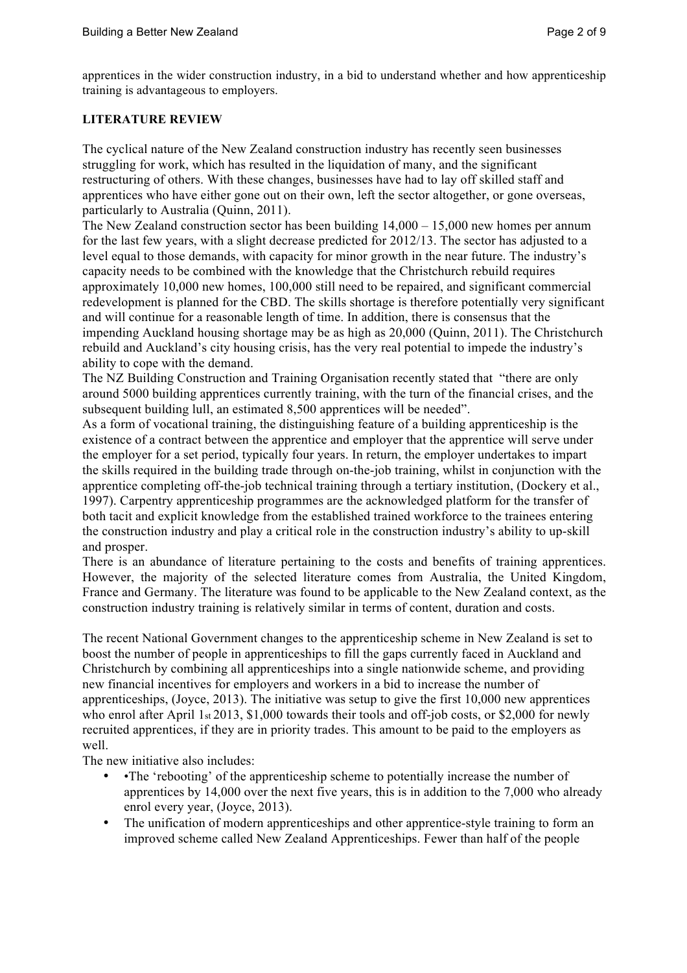apprentices in the wider construction industry, in a bid to understand whether and how apprenticeship training is advantageous to employers.

## **LITERATURE REVIEW**

The cyclical nature of the New Zealand construction industry has recently seen businesses struggling for work, which has resulted in the liquidation of many, and the significant restructuring of others. With these changes, businesses have had to lay off skilled staff and apprentices who have either gone out on their own, left the sector altogether, or gone overseas, particularly to Australia (Quinn, 2011).

The New Zealand construction sector has been building 14,000 – 15,000 new homes per annum for the last few years, with a slight decrease predicted for 2012/13. The sector has adjusted to a level equal to those demands, with capacity for minor growth in the near future. The industry's capacity needs to be combined with the knowledge that the Christchurch rebuild requires approximately 10,000 new homes, 100,000 still need to be repaired, and significant commercial redevelopment is planned for the CBD. The skills shortage is therefore potentially very significant and will continue for a reasonable length of time. In addition, there is consensus that the impending Auckland housing shortage may be as high as 20,000 (Quinn, 2011). The Christchurch rebuild and Auckland's city housing crisis, has the very real potential to impede the industry's ability to cope with the demand.

The NZ Building Construction and Training Organisation recently stated that "there are only around 5000 building apprentices currently training, with the turn of the financial crises, and the subsequent building lull, an estimated 8,500 apprentices will be needed".

As a form of vocational training, the distinguishing feature of a building apprenticeship is the existence of a contract between the apprentice and employer that the apprentice will serve under the employer for a set period, typically four years. In return, the employer undertakes to impart the skills required in the building trade through on-the-job training, whilst in conjunction with the apprentice completing off-the-job technical training through a tertiary institution, (Dockery et al., 1997). Carpentry apprenticeship programmes are the acknowledged platform for the transfer of both tacit and explicit knowledge from the established trained workforce to the trainees entering the construction industry and play a critical role in the construction industry's ability to up-skill and prosper.

There is an abundance of literature pertaining to the costs and benefits of training apprentices. However, the majority of the selected literature comes from Australia, the United Kingdom, France and Germany. The literature was found to be applicable to the New Zealand context, as the construction industry training is relatively similar in terms of content, duration and costs.

The recent National Government changes to the apprenticeship scheme in New Zealand is set to boost the number of people in apprenticeships to fill the gaps currently faced in Auckland and Christchurch by combining all apprenticeships into a single nationwide scheme, and providing new financial incentives for employers and workers in a bid to increase the number of apprenticeships, (Joyce, 2013). The initiative was setup to give the first 10,000 new apprentices who enrol after April 1st 2013, \$1,000 towards their tools and off-job costs, or \$2,000 for newly recruited apprentices, if they are in priority trades. This amount to be paid to the employers as well.

The new initiative also includes:

- •The 'rebooting' of the apprenticeship scheme to potentially increase the number of apprentices by 14,000 over the next five years, this is in addition to the 7,000 who already enrol every year, (Joyce, 2013).
- The unification of modern apprenticeships and other apprentice-style training to form an improved scheme called New Zealand Apprenticeships. Fewer than half of the people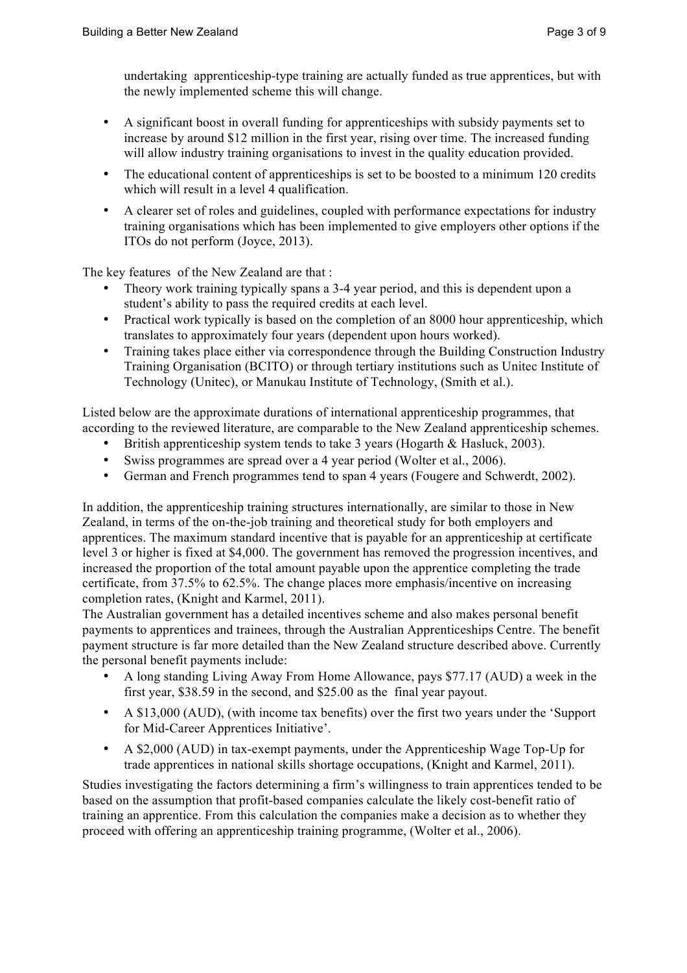undertaking apprenticeship-type training are actually funded as true apprentices, but with the newly implemented scheme this will change.

- A significant boost in overall funding for apprenticeships with subsidy payments set to increase by around \$12 million in the first year, rising over time. The increased funding will allow industry training organisations to invest in the quality education provided.
- The educational content of apprenticeships is set to be boosted to a minimum 120 credits which will result in a level 4 qualification.
- A clearer set of roles and guidelines, coupled with performance expectations for industry training organisations which has been implemented to give employers other options if the ITOs do not perform (Joyce, 2013).

The key features of the New Zealand are that :

- Theory work training typically spans a 3-4 year period, and this is dependent upon a student's ability to pass the required credits at each level.
- Practical work typically is based on the completion of an 8000 hour apprenticeship, which translates to approximately four years (dependent upon hours worked).
- Training takes place either via correspondence through the Building Construction Industry Training Organisation (BCITO) or through tertiary institutions such as Unitec Institute of Technology (Unitec), or Manukau Institute of Technology, (Smith et al.).

Listed below are the approximate durations of international apprenticeship programmes, that according to the reviewed literature, are comparable to the New Zealand apprenticeship schemes.

- British apprenticeship system tends to take 3 years (Hogarth & Hasluck, 2003).
- Swiss programmes are spread over a 4 year period (Wolter et al., 2006).
- German and French programmes tend to span 4 years (Fougere and Schwerdt, 2002).

In addition, the apprenticeship training structures internationally, are similar to those in New Zealand, in terms of the on-the-job training and theoretical study for both employers and apprentices. The maximum standard incentive that is payable for an apprenticeship at certificate level 3 or higher is fixed at \$4,000. The government has removed the progression incentives, and increased the proportion of the total amount payable upon the apprentice completing the trade certificate, from 37.5% to 62.5%. The change places more emphasis/incentive on increasing completion rates, (Knight and Karmel, 2011).

The Australian government has a detailed incentives scheme and also makes personal benefit payments to apprentices and trainees, through the Australian Apprenticeships Centre. The benefit payment structure is far more detailed than the New Zealand structure described above. Currently the personal benefit payments include:

- A long standing Living Away From Home Allowance, pays \$77.17 (AUD) a week in the first year, \$38.59 in the second, and \$25.00 as the final year payout.
- A \$13,000 (AUD), (with income tax benefits) over the first two years under the 'Support for Mid-Career Apprentices Initiative'.
- A \$2,000 (AUD) in tax-exempt payments, under the Apprenticeship Wage Top-Up for trade apprentices in national skills shortage occupations, (Knight and Karmel, 2011).

Studies investigating the factors determining a firm's willingness to train apprentices tended to be based on the assumption that profit-based companies calculate the likely cost-benefit ratio of training an apprentice. From this calculation the companies make a decision as to whether they proceed with offering an apprenticeship training programme, (Wolter et al., 2006).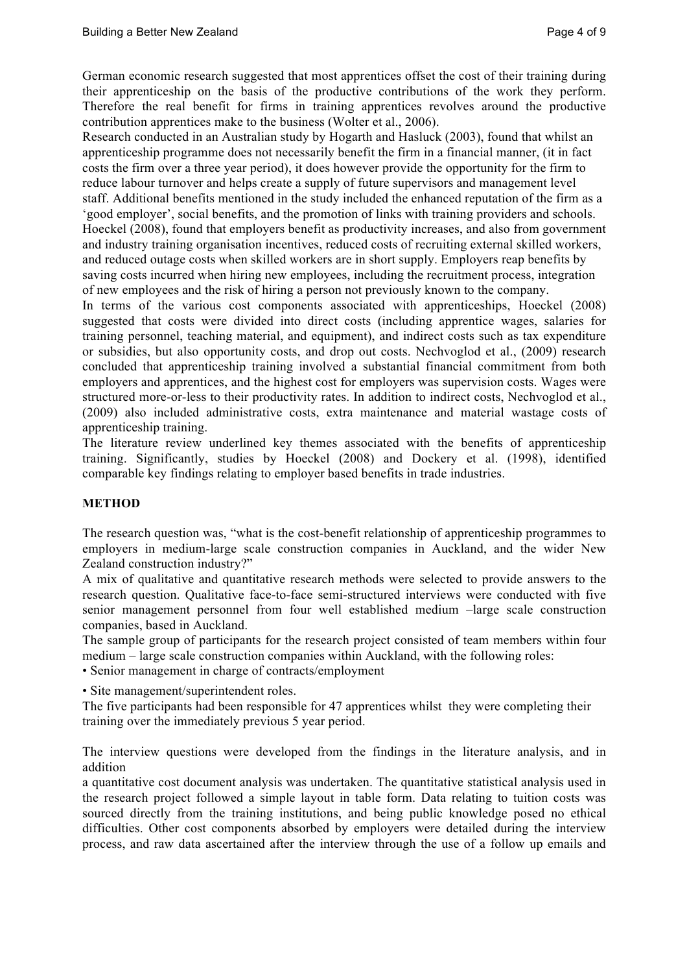German economic research suggested that most apprentices offset the cost of their training during their apprenticeship on the basis of the productive contributions of the work they perform. Therefore the real benefit for firms in training apprentices revolves around the productive contribution apprentices make to the business (Wolter et al., 2006).

Research conducted in an Australian study by Hogarth and Hasluck (2003), found that whilst an apprenticeship programme does not necessarily benefit the firm in a financial manner, (it in fact costs the firm over a three year period), it does however provide the opportunity for the firm to reduce labour turnover and helps create a supply of future supervisors and management level staff. Additional benefits mentioned in the study included the enhanced reputation of the firm as a 'good employer', social benefits, and the promotion of links with training providers and schools. Hoeckel (2008), found that employers benefit as productivity increases, and also from government and industry training organisation incentives, reduced costs of recruiting external skilled workers, and reduced outage costs when skilled workers are in short supply. Employers reap benefits by saving costs incurred when hiring new employees, including the recruitment process, integration of new employees and the risk of hiring a person not previously known to the company.

In terms of the various cost components associated with apprenticeships, Hoeckel (2008) suggested that costs were divided into direct costs (including apprentice wages, salaries for training personnel, teaching material, and equipment), and indirect costs such as tax expenditure or subsidies, but also opportunity costs, and drop out costs. Nechvoglod et al., (2009) research concluded that apprenticeship training involved a substantial financial commitment from both employers and apprentices, and the highest cost for employers was supervision costs. Wages were structured more-or-less to their productivity rates. In addition to indirect costs, Nechvoglod et al., (2009) also included administrative costs, extra maintenance and material wastage costs of apprenticeship training.

The literature review underlined key themes associated with the benefits of apprenticeship training. Significantly, studies by Hoeckel (2008) and Dockery et al. (1998), identified comparable key findings relating to employer based benefits in trade industries.

# **METHOD**

The research question was, "what is the cost-benefit relationship of apprenticeship programmes to employers in medium-large scale construction companies in Auckland, and the wider New Zealand construction industry?"

A mix of qualitative and quantitative research methods were selected to provide answers to the research question. Qualitative face-to-face semi-structured interviews were conducted with five senior management personnel from four well established medium –large scale construction companies, based in Auckland.

The sample group of participants for the research project consisted of team members within four medium – large scale construction companies within Auckland, with the following roles:

• Senior management in charge of contracts/employment

• Site management/superintendent roles.

The five participants had been responsible for 47 apprentices whilst they were completing their training over the immediately previous 5 year period.

The interview questions were developed from the findings in the literature analysis, and in addition

a quantitative cost document analysis was undertaken. The quantitative statistical analysis used in the research project followed a simple layout in table form. Data relating to tuition costs was sourced directly from the training institutions, and being public knowledge posed no ethical difficulties. Other cost components absorbed by employers were detailed during the interview process, and raw data ascertained after the interview through the use of a follow up emails and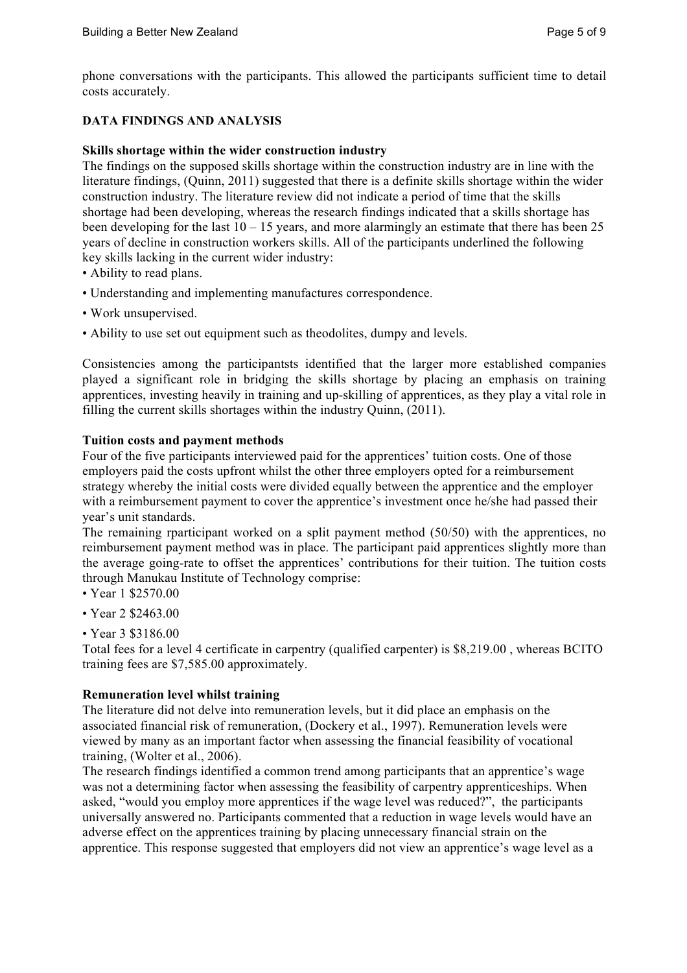phone conversations with the participants. This allowed the participants sufficient time to detail costs accurately.

## **DATA FINDINGS AND ANALYSIS**

## **Skills shortage within the wider construction industry**

The findings on the supposed skills shortage within the construction industry are in line with the literature findings, (Quinn, 2011) suggested that there is a definite skills shortage within the wider construction industry. The literature review did not indicate a period of time that the skills shortage had been developing, whereas the research findings indicated that a skills shortage has been developing for the last  $10 - 15$  years, and more alarmingly an estimate that there has been 25 years of decline in construction workers skills. All of the participants underlined the following key skills lacking in the current wider industry:

- Ability to read plans.
- Understanding and implementing manufactures correspondence.
- Work unsupervised.
- Ability to use set out equipment such as theodolites, dumpy and levels.

Consistencies among the participantsts identified that the larger more established companies played a significant role in bridging the skills shortage by placing an emphasis on training apprentices, investing heavily in training and up-skilling of apprentices, as they play a vital role in filling the current skills shortages within the industry Quinn, (2011).

## **Tuition costs and payment methods**

Four of the five participants interviewed paid for the apprentices' tuition costs. One of those employers paid the costs upfront whilst the other three employers opted for a reimbursement strategy whereby the initial costs were divided equally between the apprentice and the employer with a reimbursement payment to cover the apprentice's investment once he/she had passed their year's unit standards.

The remaining rparticipant worked on a split payment method (50/50) with the apprentices, no reimbursement payment method was in place. The participant paid apprentices slightly more than the average going-rate to offset the apprentices' contributions for their tuition. The tuition costs through Manukau Institute of Technology comprise:

- Year 1 \$2570.00
- Year 2 \$2463.00
- Year 3 \$3186.00

Total fees for a level 4 certificate in carpentry (qualified carpenter) is \$8,219.00 , whereas BCITO training fees are \$7,585.00 approximately.

## **Remuneration level whilst training**

The literature did not delve into remuneration levels, but it did place an emphasis on the associated financial risk of remuneration, (Dockery et al., 1997). Remuneration levels were viewed by many as an important factor when assessing the financial feasibility of vocational training, (Wolter et al., 2006).

The research findings identified a common trend among participants that an apprentice's wage was not a determining factor when assessing the feasibility of carpentry apprenticeships. When asked, "would you employ more apprentices if the wage level was reduced?", the participants universally answered no. Participants commented that a reduction in wage levels would have an adverse effect on the apprentices training by placing unnecessary financial strain on the apprentice. This response suggested that employers did not view an apprentice's wage level as a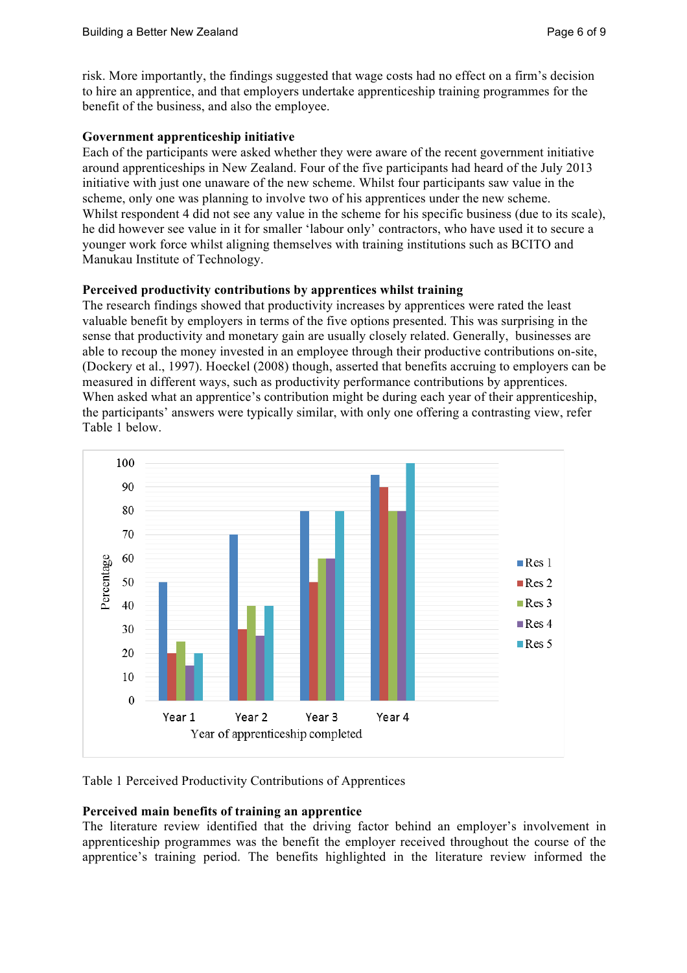risk. More importantly, the findings suggested that wage costs had no effect on a firm's decision to hire an apprentice, and that employers undertake apprenticeship training programmes for the benefit of the business, and also the employee.

# **Government apprenticeship initiative**

Each of the participants were asked whether they were aware of the recent government initiative around apprenticeships in New Zealand. Four of the five participants had heard of the July 2013 initiative with just one unaware of the new scheme. Whilst four participants saw value in the scheme, only one was planning to involve two of his apprentices under the new scheme. Whilst respondent 4 did not see any value in the scheme for his specific business (due to its scale), he did however see value in it for smaller 'labour only' contractors, who have used it to secure a younger work force whilst aligning themselves with training institutions such as BCITO and Manukau Institute of Technology.

# **Perceived productivity contributions by apprentices whilst training**

The research findings showed that productivity increases by apprentices were rated the least valuable benefit by employers in terms of the five options presented. This was surprising in the sense that productivity and monetary gain are usually closely related. Generally, businesses are able to recoup the money invested in an employee through their productive contributions on-site, (Dockery et al., 1997). Hoeckel (2008) though, asserted that benefits accruing to employers can be measured in different ways, such as productivity performance contributions by apprentices. When asked what an apprentice's contribution might be during each year of their apprenticeship, the participants' answers were typically similar, with only one offering a contrasting view, refer Table 1 below.



# Table 1 Perceived Productivity Contributions of Apprentices

# **Perceived main benefits of training an apprentice**

The literature review identified that the driving factor behind an employer's involvement in apprenticeship programmes was the benefit the employer received throughout the course of the apprentice's training period. The benefits highlighted in the literature review informed the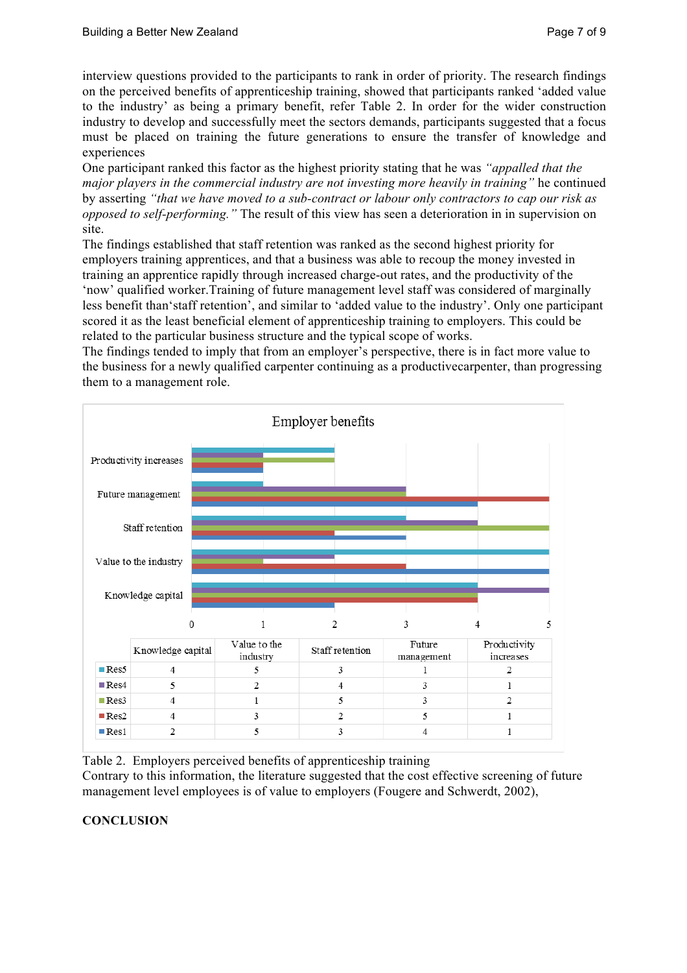interview questions provided to the participants to rank in order of priority. The research findings on the perceived benefits of apprenticeship training, showed that participants ranked 'added value to the industry' as being a primary benefit, refer Table 2. In order for the wider construction industry to develop and successfully meet the sectors demands, participants suggested that a focus must be placed on training the future generations to ensure the transfer of knowledge and experiences

One participant ranked this factor as the highest priority stating that he was *"appalled that the major players in the commercial industry are not investing more heavily in training"* he continued by asserting *"that we have moved to a sub-contract or labour only contractors to cap our risk as opposed to self-performing."* The result of this view has seen a deterioration in in supervision on site.

The findings established that staff retention was ranked as the second highest priority for employers training apprentices, and that a business was able to recoup the money invested in training an apprentice rapidly through increased charge-out rates, and the productivity of the 'now' qualified worker.Training of future management level staff was considered of marginally less benefit than'staff retention', and similar to 'added value to the industry'. Only one participant scored it as the least beneficial element of apprenticeship training to employers. This could be related to the particular business structure and the typical scope of works.

The findings tended to imply that from an employer's perspective, there is in fact more value to the business for a newly qualified carpenter continuing as a productivecarpenter, than progressing them to a management role.



Table 2. Employers perceived benefits of apprenticeship training

Contrary to this information, the literature suggested that the cost effective screening of future management level employees is of value to employers (Fougere and Schwerdt, 2002),

# **CONCLUSION**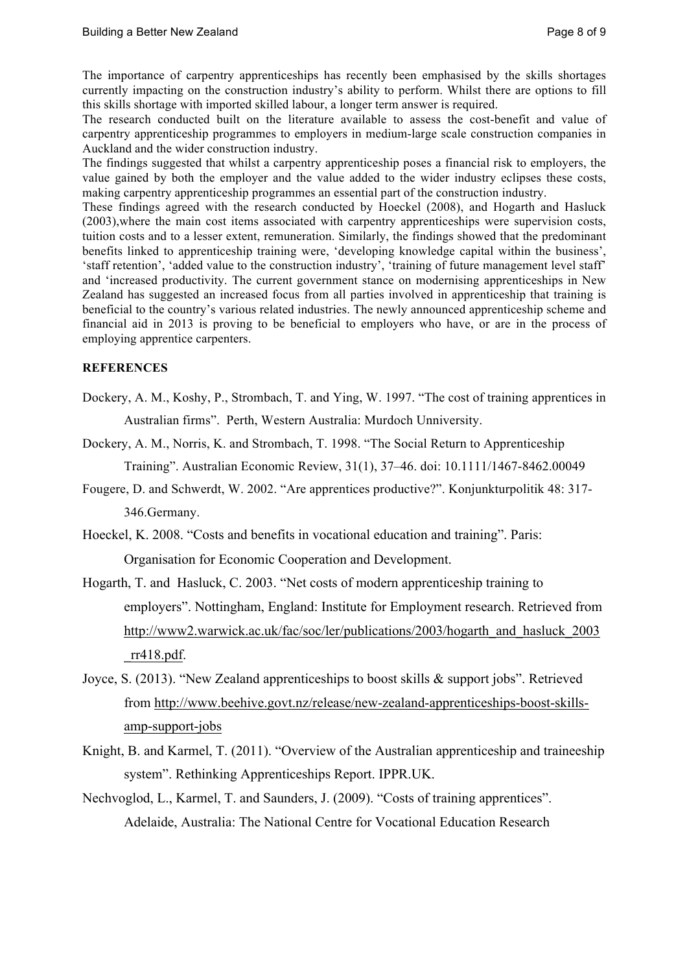The importance of carpentry apprenticeships has recently been emphasised by the skills shortages currently impacting on the construction industry's ability to perform. Whilst there are options to fill this skills shortage with imported skilled labour, a longer term answer is required.

The research conducted built on the literature available to assess the cost-benefit and value of carpentry apprenticeship programmes to employers in medium-large scale construction companies in Auckland and the wider construction industry.

The findings suggested that whilst a carpentry apprenticeship poses a financial risk to employers, the value gained by both the employer and the value added to the wider industry eclipses these costs, making carpentry apprenticeship programmes an essential part of the construction industry.

These findings agreed with the research conducted by Hoeckel (2008), and Hogarth and Hasluck (2003),where the main cost items associated with carpentry apprenticeships were supervision costs, tuition costs and to a lesser extent, remuneration. Similarly, the findings showed that the predominant benefits linked to apprenticeship training were, 'developing knowledge capital within the business', 'staff retention', 'added value to the construction industry', 'training of future management level staff' and 'increased productivity. The current government stance on modernising apprenticeships in New Zealand has suggested an increased focus from all parties involved in apprenticeship that training is beneficial to the country's various related industries. The newly announced apprenticeship scheme and financial aid in 2013 is proving to be beneficial to employers who have, or are in the process of employing apprentice carpenters.

## **REFERENCES**

- Dockery, A. M., Koshy, P., Strombach, T. and Ying, W. 1997. "The cost of training apprentices in Australian firms". Perth, Western Australia: Murdoch Unniversity.
- Dockery, A. M., Norris, K. and Strombach, T. 1998. "The Social Return to Apprenticeship Training". Australian Economic Review, 31(1), 37–46. doi: 10.1111/1467-8462.00049
- Fougere, D. and Schwerdt, W. 2002. "Are apprentices productive?". Konjunkturpolitik 48: 317- 346.Germany.
- Hoeckel, K. 2008. "Costs and benefits in vocational education and training". Paris: Organisation for Economic Cooperation and Development.
- Hogarth, T. and Hasluck, C. 2003. "Net costs of modern apprenticeship training to employers". Nottingham, England: Institute for Employment research. Retrieved from http://www2.warwick.ac.uk/fac/soc/ler/publications/2003/hogarth\_and\_hasluck\_2003 \_rr418.pdf.
- Joyce, S. (2013). "New Zealand apprenticeships to boost skills & support jobs". Retrieved from http://www.beehive.govt.nz/release/new-zealand-apprenticeships-boost-skillsamp-support-jobs
- Knight, B. and Karmel, T. (2011). "Overview of the Australian apprenticeship and traineeship system". Rethinking Apprenticeships Report. IPPR.UK.
- Nechvoglod, L., Karmel, T. and Saunders, J. (2009). "Costs of training apprentices". Adelaide, Australia: The National Centre for Vocational Education Research